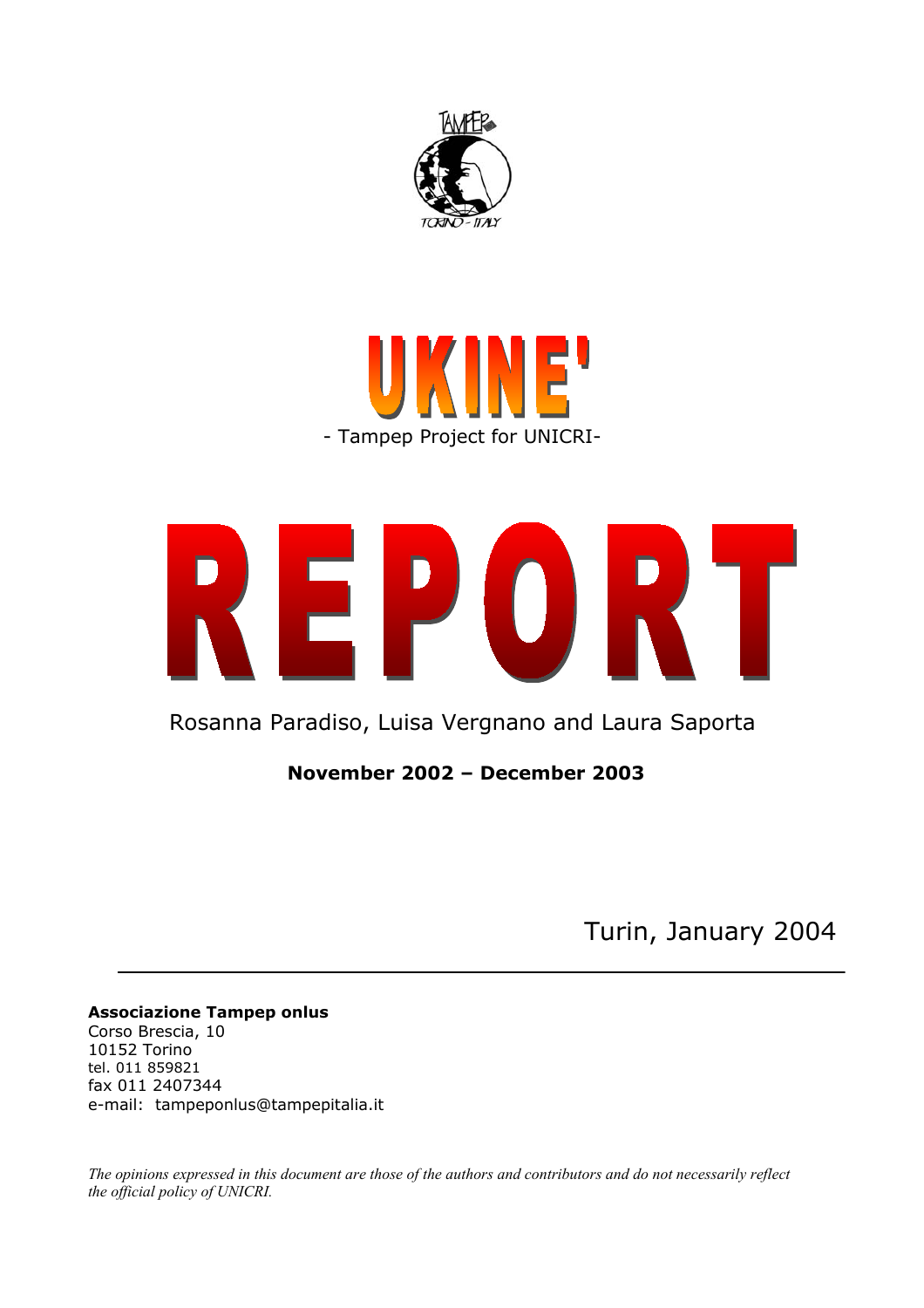





Rosanna Paradiso, Luisa Vergnano and Laura Saporta

**November 2002 – December 2003** 

Turin, January 2004

**Associazione Tampep onlus**  Corso Brescia, 10 10152 Torino tel. 011 859821 fax 011 2407344 e-mail: tampeponlus@tampepitalia.it

*The opinions expressed in this document are those of the authors and contributors and do not necessarily reflect the official policy of UNICRI.*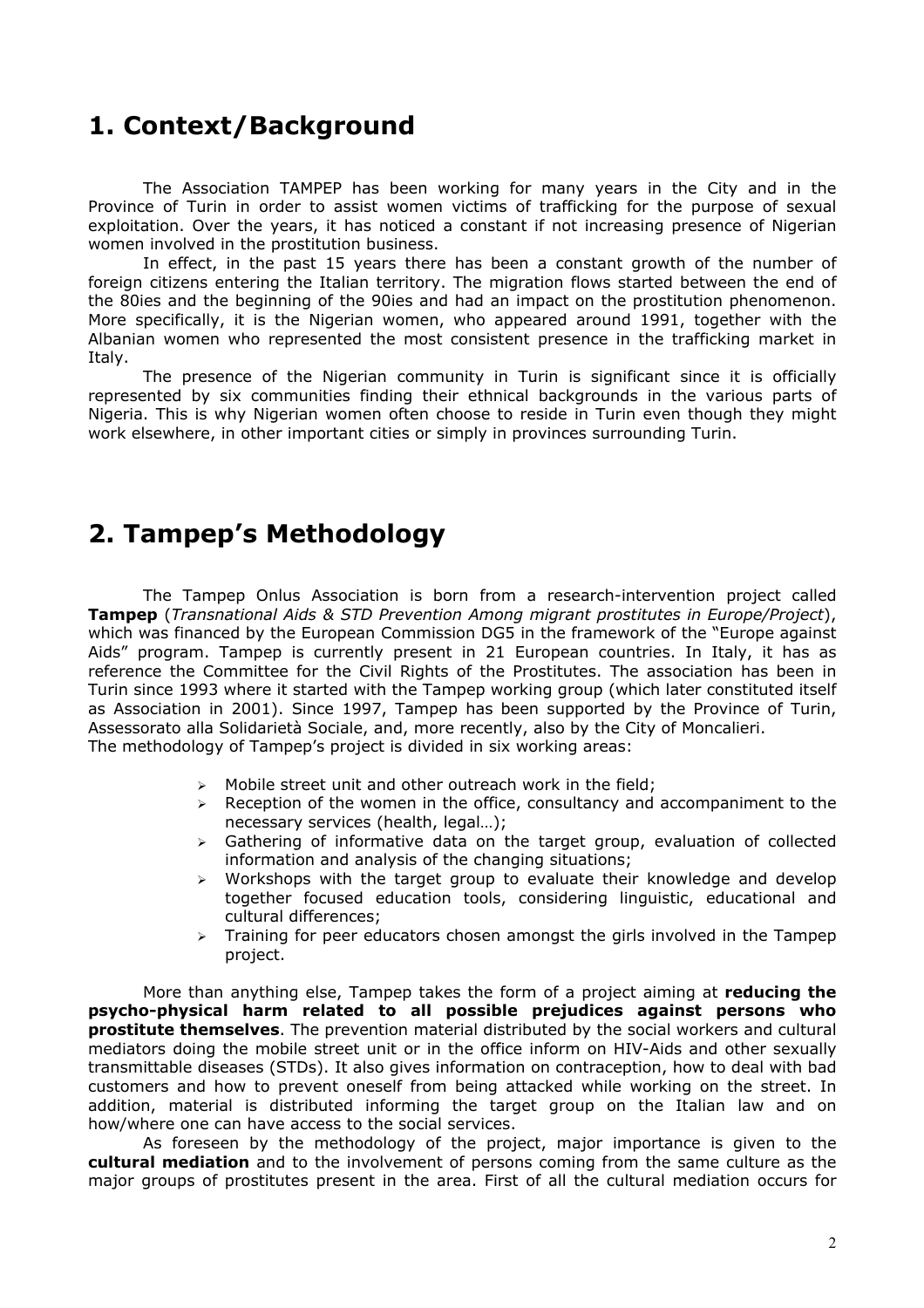## **1. Context/Background**

The Association TAMPEP has been working for many years in the City and in the Province of Turin in order to assist women victims of trafficking for the purpose of sexual exploitation. Over the years, it has noticed a constant if not increasing presence of Nigerian women involved in the prostitution business.

In effect, in the past 15 years there has been a constant growth of the number of foreign citizens entering the Italian territory. The migration flows started between the end of the 80ies and the beginning of the 90ies and had an impact on the prostitution phenomenon. More specifically, it is the Nigerian women, who appeared around 1991, together with the Albanian women who represented the most consistent presence in the trafficking market in Italy.

The presence of the Nigerian community in Turin is significant since it is officially represented by six communities finding their ethnical backgrounds in the various parts of Nigeria. This is why Nigerian women often choose to reside in Turin even though they might work elsewhere, in other important cities or simply in provinces surrounding Turin.

# **2. Tampep's Methodology**

The Tampep Onlus Association is born from a research-intervention project called **Tampep** (*Transnational Aids & STD Prevention Among migrant prostitutes in Europe/Project*), which was financed by the European Commission DG5 in the framework of the "Europe against Aids" program. Tampep is currently present in 21 European countries. In Italy, it has as reference the Committee for the Civil Rights of the Prostitutes. The association has been in Turin since 1993 where it started with the Tampep working group (which later constituted itself as Association in 2001). Since 1997, Tampep has been supported by the Province of Turin, Assessorato alla Solidarietà Sociale, and, more recently, also by the City of Moncalieri. The methodology of Tampep's project is divided in six working areas:

- $\triangleright$  Mobile street unit and other outreach work in the field;
- $\triangleright$  Reception of the women in the office, consultancy and accompaniment to the necessary services (health, legal…);
- $\geq$  Gathering of informative data on the target group, evaluation of collected information and analysis of the changing situations;
- $\triangleright$  Workshops with the target group to evaluate their knowledge and develop together focused education tools, considering linguistic, educational and cultural differences;
- $\triangleright$  Training for peer educators chosen amongst the girls involved in the Tampep project.

More than anything else, Tampep takes the form of a project aiming at **reducing the psycho-physical harm related to all possible prejudices against persons who prostitute themselves**. The prevention material distributed by the social workers and cultural mediators doing the mobile street unit or in the office inform on HIV-Aids and other sexually transmittable diseases (STDs). It also gives information on contraception, how to deal with bad customers and how to prevent oneself from being attacked while working on the street. In addition, material is distributed informing the target group on the Italian law and on how/where one can have access to the social services.

As foreseen by the methodology of the project, major importance is given to the **cultural mediation** and to the involvement of persons coming from the same culture as the major groups of prostitutes present in the area. First of all the cultural mediation occurs for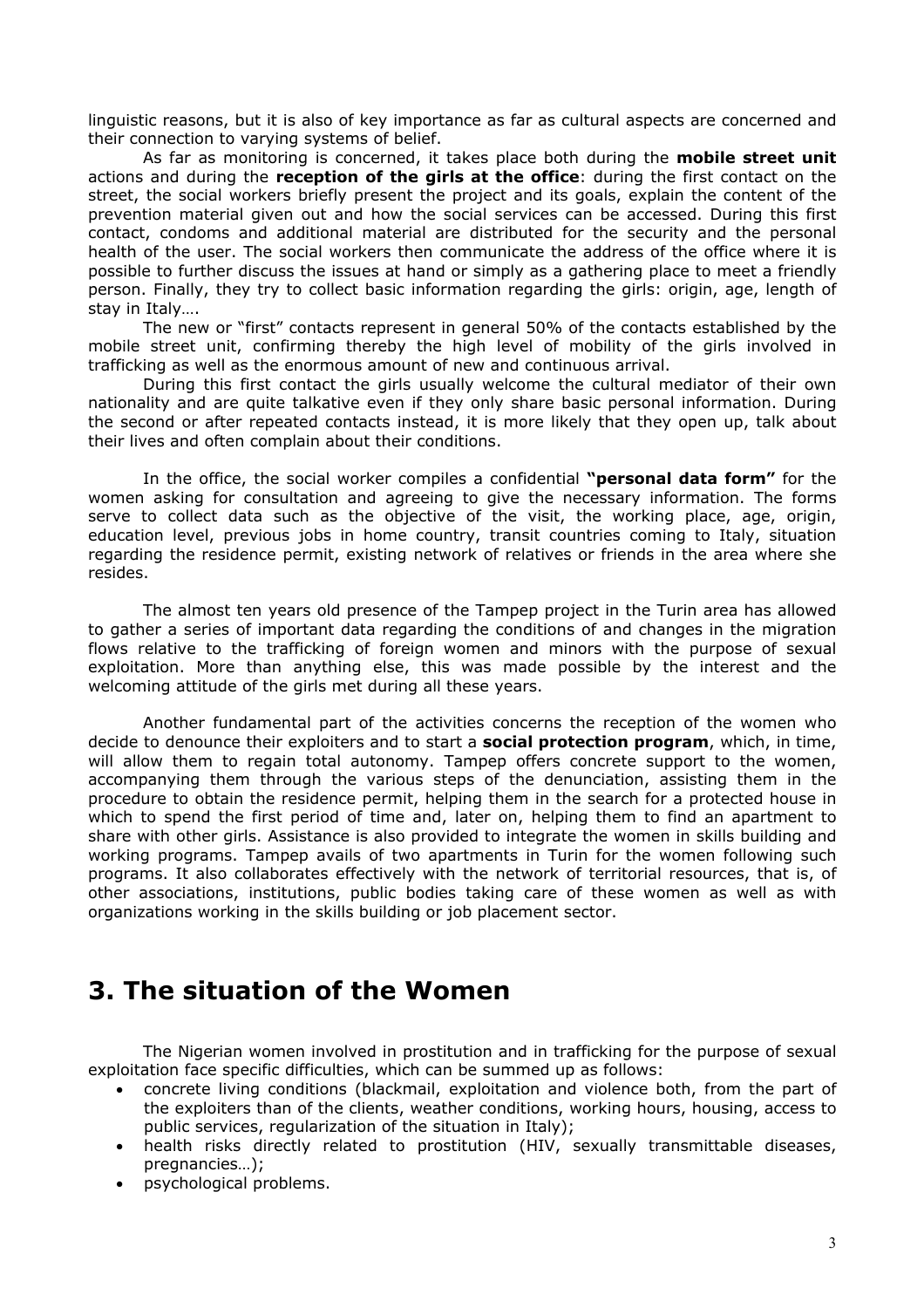linguistic reasons, but it is also of key importance as far as cultural aspects are concerned and their connection to varying systems of belief.

As far as monitoring is concerned, it takes place both during the **mobile street unit** actions and during the **reception of the girls at the office**: during the first contact on the street, the social workers briefly present the project and its goals, explain the content of the prevention material given out and how the social services can be accessed. During this first contact, condoms and additional material are distributed for the security and the personal health of the user. The social workers then communicate the address of the office where it is possible to further discuss the issues at hand or simply as a gathering place to meet a friendly person. Finally, they try to collect basic information regarding the girls: origin, age, length of stay in Italy….

The new or "first" contacts represent in general 50% of the contacts established by the mobile street unit, confirming thereby the high level of mobility of the girls involved in trafficking as well as the enormous amount of new and continuous arrival.

During this first contact the girls usually welcome the cultural mediator of their own nationality and are quite talkative even if they only share basic personal information. During the second or after repeated contacts instead, it is more likely that they open up, talk about their lives and often complain about their conditions.

In the office, the social worker compiles a confidential **"personal data form"** for the women asking for consultation and agreeing to give the necessary information. The forms serve to collect data such as the objective of the visit, the working place, age, origin, education level, previous jobs in home country, transit countries coming to Italy, situation regarding the residence permit, existing network of relatives or friends in the area where she resides.

The almost ten years old presence of the Tampep project in the Turin area has allowed to gather a series of important data regarding the conditions of and changes in the migration flows relative to the trafficking of foreign women and minors with the purpose of sexual exploitation. More than anything else, this was made possible by the interest and the welcoming attitude of the girls met during all these years.

Another fundamental part of the activities concerns the reception of the women who decide to denounce their exploiters and to start a **social protection program**, which, in time, will allow them to regain total autonomy. Tampep offers concrete support to the women, accompanying them through the various steps of the denunciation, assisting them in the procedure to obtain the residence permit, helping them in the search for a protected house in which to spend the first period of time and, later on, helping them to find an apartment to share with other girls. Assistance is also provided to integrate the women in skills building and working programs. Tampep avails of two apartments in Turin for the women following such programs. It also collaborates effectively with the network of territorial resources, that is, of other associations, institutions, public bodies taking care of these women as well as with organizations working in the skills building or job placement sector.

# **3. The situation of the Women**

The Nigerian women involved in prostitution and in trafficking for the purpose of sexual exploitation face specific difficulties, which can be summed up as follows:

- concrete living conditions (blackmail, exploitation and violence both, from the part of the exploiters than of the clients, weather conditions, working hours, housing, access to public services, regularization of the situation in Italy);
- health risks directly related to prostitution (HIV, sexually transmittable diseases, pregnancies…);
- psychological problems.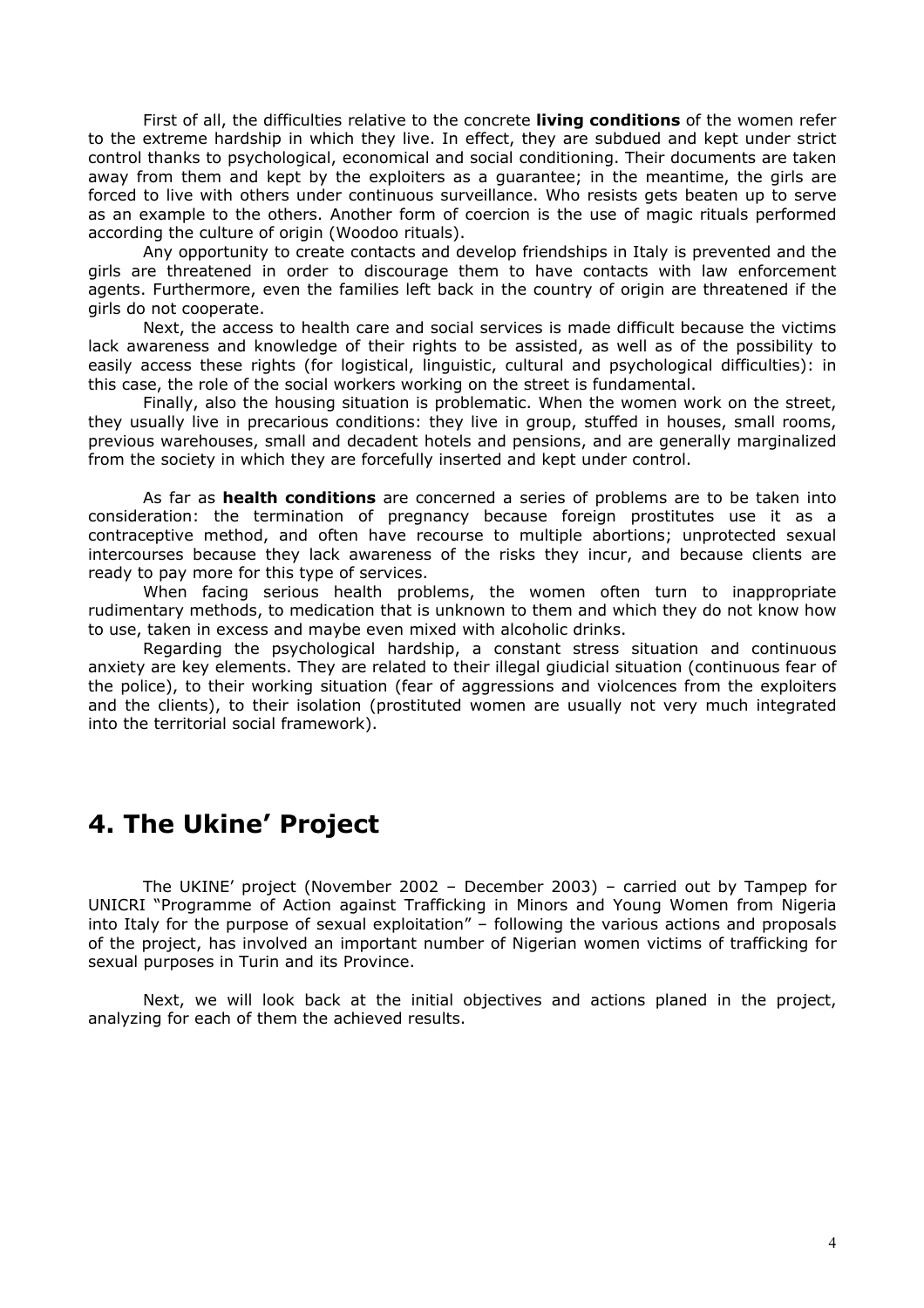First of all, the difficulties relative to the concrete **living conditions** of the women refer to the extreme hardship in which they live. In effect, they are subdued and kept under strict control thanks to psychological, economical and social conditioning. Their documents are taken away from them and kept by the exploiters as a guarantee; in the meantime, the girls are forced to live with others under continuous surveillance. Who resists gets beaten up to serve as an example to the others. Another form of coercion is the use of magic rituals performed according the culture of origin (Woodoo rituals).

Any opportunity to create contacts and develop friendships in Italy is prevented and the girls are threatened in order to discourage them to have contacts with law enforcement agents. Furthermore, even the families left back in the country of origin are threatened if the girls do not cooperate.

Next, the access to health care and social services is made difficult because the victims lack awareness and knowledge of their rights to be assisted, as well as of the possibility to easily access these rights (for logistical, linguistic, cultural and psychological difficulties): in this case, the role of the social workers working on the street is fundamental.

Finally, also the housing situation is problematic. When the women work on the street, they usually live in precarious conditions: they live in group, stuffed in houses, small rooms, previous warehouses, small and decadent hotels and pensions, and are generally marginalized from the society in which they are forcefully inserted and kept under control.

As far as **health conditions** are concerned a series of problems are to be taken into consideration: the termination of pregnancy because foreign prostitutes use it as a contraceptive method, and often have recourse to multiple abortions; unprotected sexual intercourses because they lack awareness of the risks they incur, and because clients are ready to pay more for this type of services.

When facing serious health problems, the women often turn to inappropriate rudimentary methods, to medication that is unknown to them and which they do not know how to use, taken in excess and maybe even mixed with alcoholic drinks.

Regarding the psychological hardship, a constant stress situation and continuous anxiety are key elements. They are related to their illegal giudicial situation (continuous fear of the police), to their working situation (fear of aggressions and violcences from the exploiters and the clients), to their isolation (prostituted women are usually not very much integrated into the territorial social framework).

# **4. The Ukine' Project**

The UKINE' project (November 2002 – December 2003) – carried out by Tampep for UNICRI "Programme of Action against Trafficking in Minors and Young Women from Nigeria into Italy for the purpose of sexual exploitation" – following the various actions and proposals of the project, has involved an important number of Nigerian women victims of trafficking for sexual purposes in Turin and its Province.

Next, we will look back at the initial objectives and actions planed in the project, analyzing for each of them the achieved results.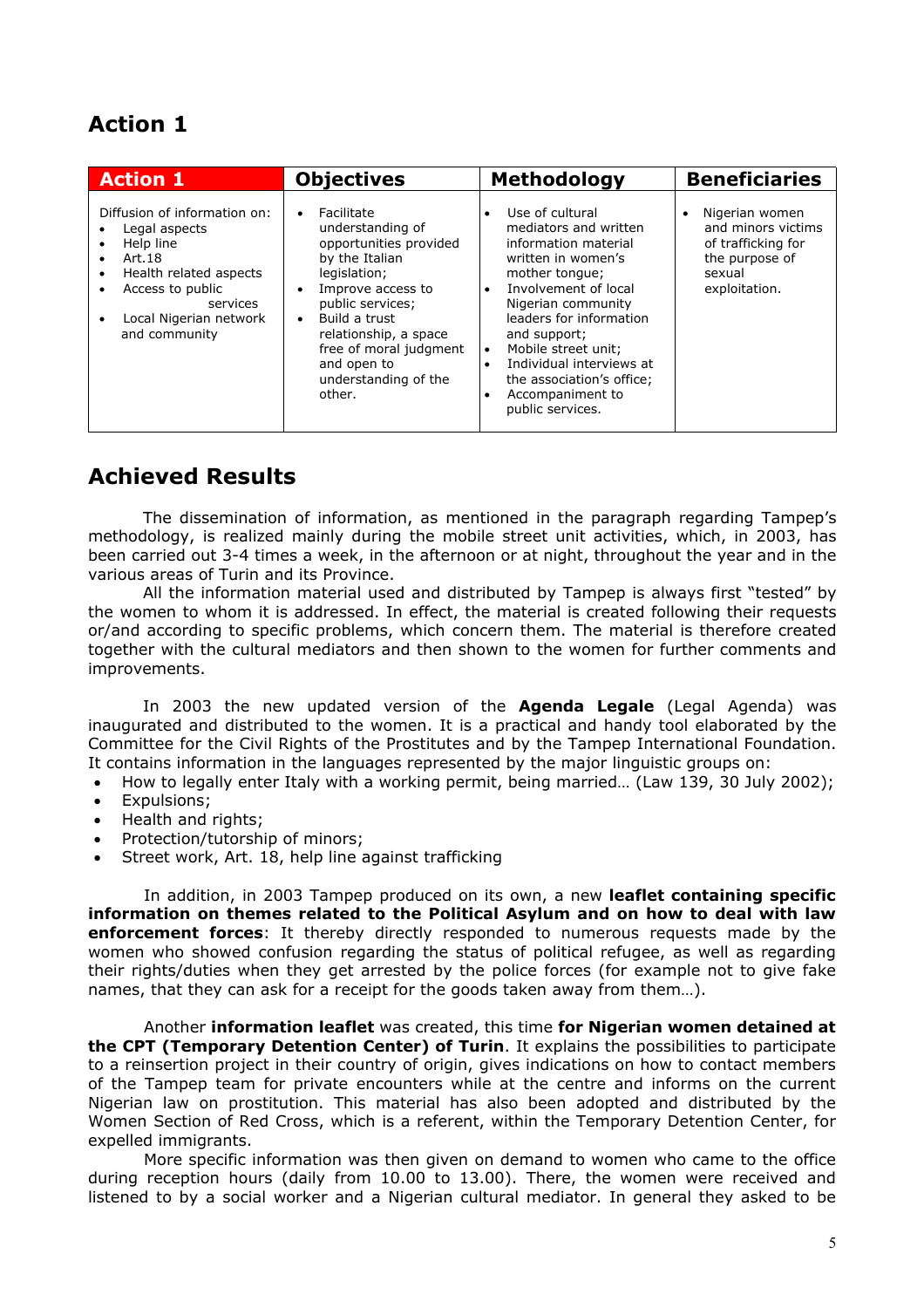# **Action 1**

| <b>Action 1</b>                                                                                                                                                                                                    | <b>Objectives</b>                                                                                                                                                                                                                                                     | <b>Methodology</b>                                                                                                                                                                                                                                                                                                                                                            | <b>Beneficiaries</b>                                                                                                 |
|--------------------------------------------------------------------------------------------------------------------------------------------------------------------------------------------------------------------|-----------------------------------------------------------------------------------------------------------------------------------------------------------------------------------------------------------------------------------------------------------------------|-------------------------------------------------------------------------------------------------------------------------------------------------------------------------------------------------------------------------------------------------------------------------------------------------------------------------------------------------------------------------------|----------------------------------------------------------------------------------------------------------------------|
| Diffusion of information on:<br>Legal aspects<br>Help line<br>$\bullet$<br>Art.18<br>$\bullet$<br>Health related aspects<br>٠<br>Access to public<br>٠<br>services<br>Local Nigerian network<br>٠<br>and community | Facilitate<br>understanding of<br>opportunities provided<br>by the Italian<br>legislation;<br>Improve access to<br>public services;<br>Build a trust<br>$\bullet$<br>relationship, a space<br>free of moral judgment<br>and open to<br>understanding of the<br>other. | Use of cultural<br>$\bullet$<br>mediators and written<br>information material<br>written in women's<br>mother tongue;<br>Involvement of local<br>$\bullet$<br>Nigerian community<br>leaders for information<br>and support;<br>Mobile street unit;<br>$\bullet$<br>Individual interviews at<br>the association's office;<br>Accompaniment to<br>$\bullet$<br>public services. | Nigerian women<br>$\bullet$<br>and minors victims<br>of trafficking for<br>the purpose of<br>sexual<br>exploitation. |

### **Achieved Results**

The dissemination of information, as mentioned in the paragraph regarding Tampep's methodology, is realized mainly during the mobile street unit activities, which, in 2003, has been carried out 3-4 times a week, in the afternoon or at night, throughout the year and in the various areas of Turin and its Province.

All the information material used and distributed by Tampep is always first "tested" by the women to whom it is addressed. In effect, the material is created following their requests or/and according to specific problems, which concern them. The material is therefore created together with the cultural mediators and then shown to the women for further comments and improvements.

In 2003 the new updated version of the **Agenda Legale** (Legal Agenda) was inaugurated and distributed to the women. It is a practical and handy tool elaborated by the Committee for the Civil Rights of the Prostitutes and by the Tampep International Foundation. It contains information in the languages represented by the major linguistic groups on:

- How to legally enter Italy with a working permit, being married… (Law 139, 30 July 2002);
- Expulsions;
- Health and rights;
- Protection/tutorship of minors;
- Street work, Art. 18, help line against trafficking

In addition, in 2003 Tampep produced on its own, a new **leaflet containing specific information on themes related to the Political Asylum and on how to deal with law enforcement forces**: It thereby directly responded to numerous requests made by the women who showed confusion regarding the status of political refugee, as well as regarding their rights/duties when they get arrested by the police forces (for example not to give fake names, that they can ask for a receipt for the goods taken away from them…).

Another **information leaflet** was created, this time **for Nigerian women detained at the CPT (Temporary Detention Center) of Turin**. It explains the possibilities to participate to a reinsertion project in their country of origin, gives indications on how to contact members of the Tampep team for private encounters while at the centre and informs on the current Nigerian law on prostitution. This material has also been adopted and distributed by the Women Section of Red Cross, which is a referent, within the Temporary Detention Center, for expelled immigrants.

More specific information was then given on demand to women who came to the office during reception hours (daily from 10.00 to 13.00). There, the women were received and listened to by a social worker and a Nigerian cultural mediator. In general they asked to be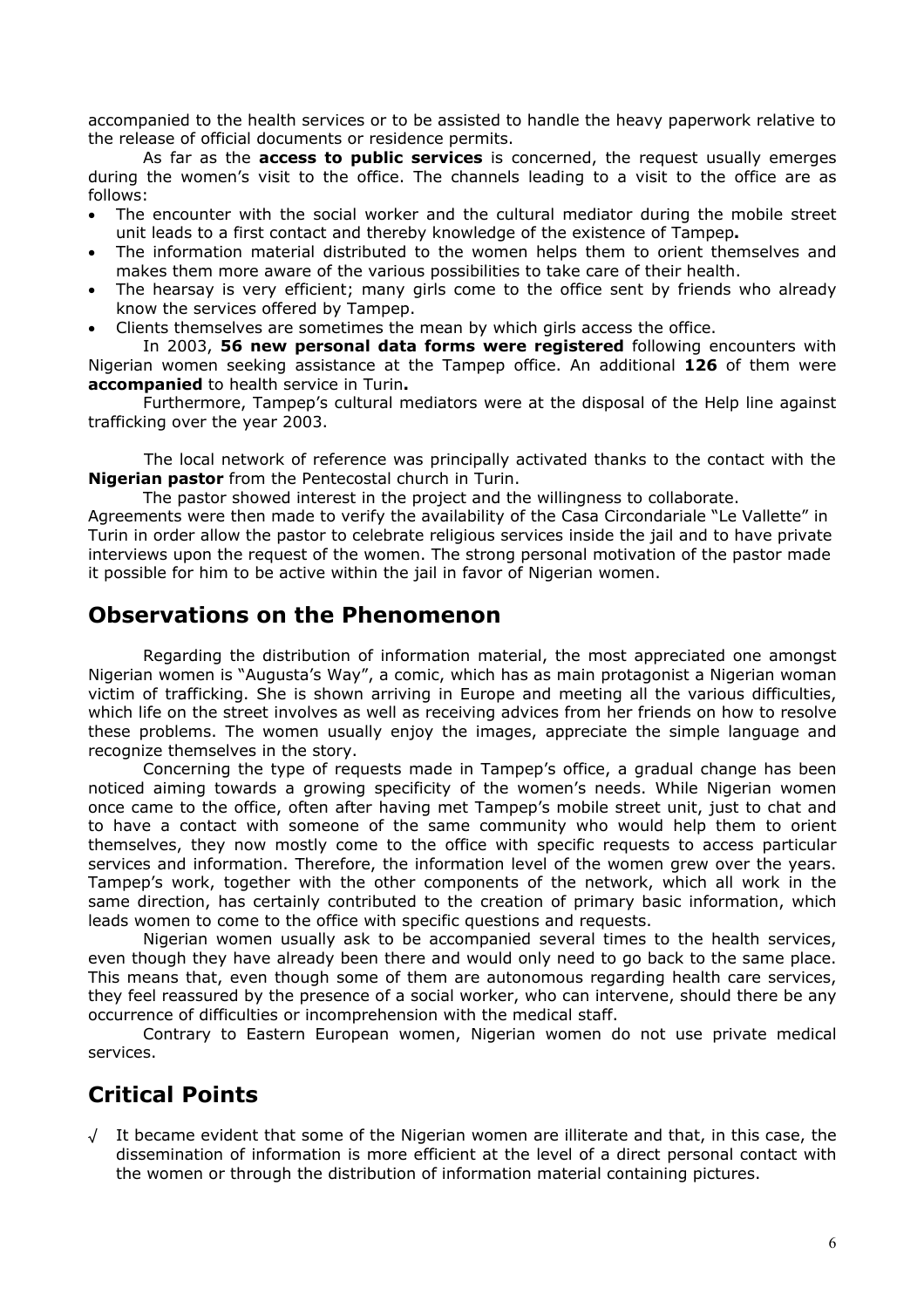accompanied to the health services or to be assisted to handle the heavy paperwork relative to the release of official documents or residence permits.

As far as the **access to public services** is concerned, the request usually emerges during the women's visit to the office. The channels leading to a visit to the office are as follows:

- The encounter with the social worker and the cultural mediator during the mobile street unit leads to a first contact and thereby knowledge of the existence of Tampep**.**
- The information material distributed to the women helps them to orient themselves and makes them more aware of the various possibilities to take care of their health.
- The hearsay is very efficient; many girls come to the office sent by friends who already know the services offered by Tampep.
- Clients themselves are sometimes the mean by which girls access the office.

In 2003, **56 new personal data forms were registered** following encounters with Nigerian women seeking assistance at the Tampep office. An additional **126** of them were **accompanied** to health service in Turin**.**

Furthermore, Tampep's cultural mediators were at the disposal of the Help line against trafficking over the year 2003.

The local network of reference was principally activated thanks to the contact with the **Nigerian pastor** from the Pentecostal church in Turin.

The pastor showed interest in the project and the willingness to collaborate.

Agreements were then made to verify the availability of the Casa Circondariale "Le Vallette" in Turin in order allow the pastor to celebrate religious services inside the jail and to have private interviews upon the request of the women. The strong personal motivation of the pastor made it possible for him to be active within the jail in favor of Nigerian women.

### **Observations on the Phenomenon**

Regarding the distribution of information material, the most appreciated one amongst Nigerian women is "Augusta's Way", a comic, which has as main protagonist a Nigerian woman victim of trafficking. She is shown arriving in Europe and meeting all the various difficulties, which life on the street involves as well as receiving advices from her friends on how to resolve these problems. The women usually enjoy the images, appreciate the simple language and recognize themselves in the story.

Concerning the type of requests made in Tampep's office, a gradual change has been noticed aiming towards a growing specificity of the women's needs. While Nigerian women once came to the office, often after having met Tampep's mobile street unit, just to chat and to have a contact with someone of the same community who would help them to orient themselves, they now mostly come to the office with specific requests to access particular services and information. Therefore, the information level of the women grew over the years. Tampep's work, together with the other components of the network, which all work in the same direction, has certainly contributed to the creation of primary basic information, which leads women to come to the office with specific questions and requests.

Nigerian women usually ask to be accompanied several times to the health services, even though they have already been there and would only need to go back to the same place. This means that, even though some of them are autonomous regarding health care services, they feel reassured by the presence of a social worker, who can intervene, should there be any occurrence of difficulties or incomprehension with the medical staff.

Contrary to Eastern European women, Nigerian women do not use private medical services.

### **Critical Points**

√ It became evident that some of the Nigerian women are illiterate and that, in this case, the dissemination of information is more efficient at the level of a direct personal contact with the women or through the distribution of information material containing pictures.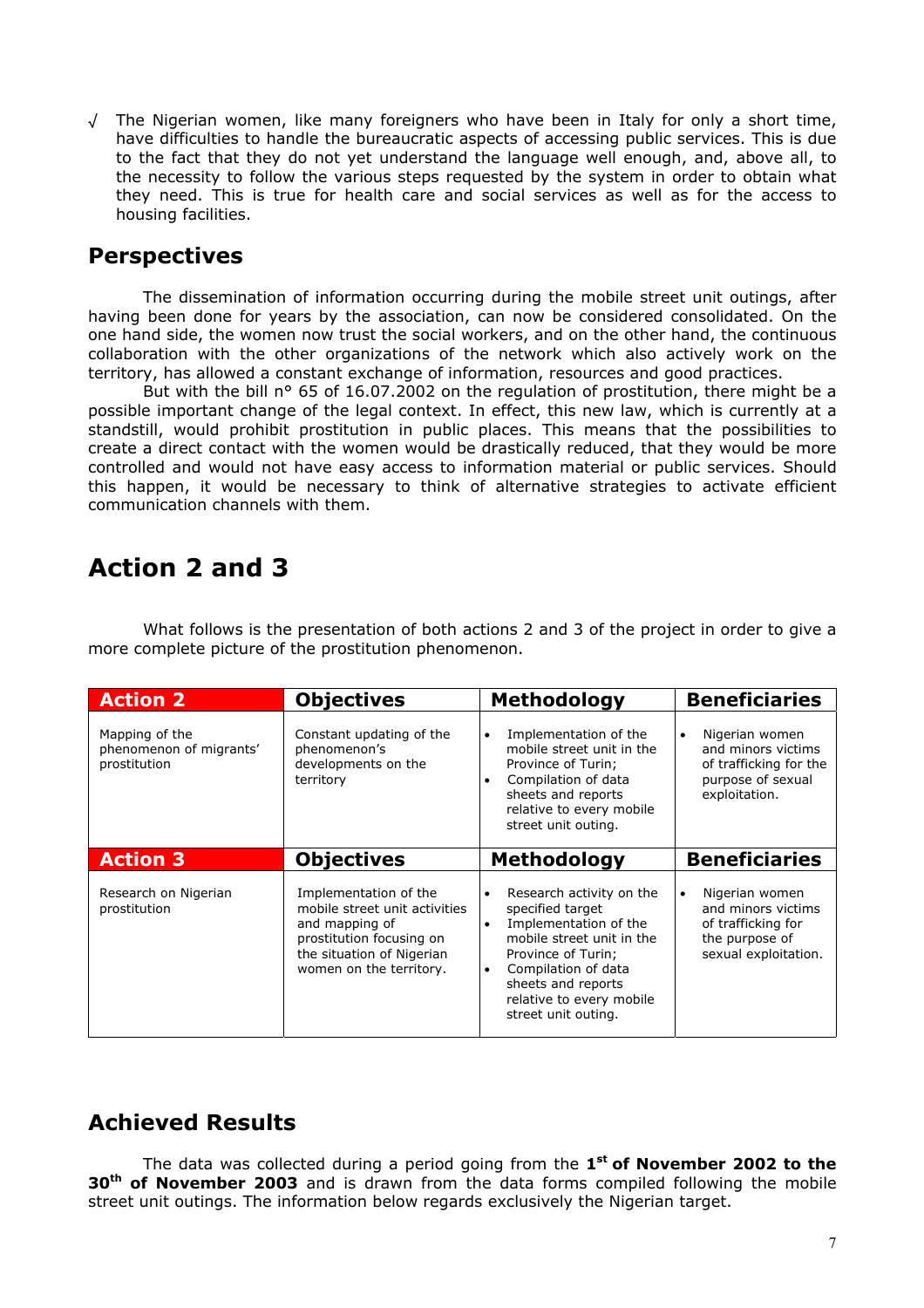√ The Nigerian women, like many foreigners who have been in Italy for only a short time, have difficulties to handle the bureaucratic aspects of accessing public services. This is due to the fact that they do not yet understand the language well enough, and, above all, to the necessity to follow the various steps requested by the system in order to obtain what they need. This is true for health care and social services as well as for the access to housing facilities.

### **Perspectives**

The dissemination of information occurring during the mobile street unit outings, after having been done for years by the association, can now be considered consolidated. On the one hand side, the women now trust the social workers, and on the other hand, the continuous collaboration with the other organizations of the network which also actively work on the territory, has allowed a constant exchange of information, resources and good practices.

But with the bill n<sup>o</sup> 65 of 16.07.2002 on the regulation of prostitution, there might be a possible important change of the legal context. In effect, this new law, which is currently at a standstill, would prohibit prostitution in public places. This means that the possibilities to create a direct contact with the women would be drastically reduced, that they would be more controlled and would not have easy access to information material or public services. Should this happen, it would be necessary to think of alternative strategies to activate efficient communication channels with them.

# **Action 2 and 3**

What follows is the presentation of both actions 2 and 3 of the project in order to give a more complete picture of the prostitution phenomenon.

| <b>Action 2</b>                                           | <b>Objectives</b>                                                                                                                                            | <b>Methodology</b>                                                                                                                                                                                                                                              | <b>Beneficiaries</b>                                                                                              |
|-----------------------------------------------------------|--------------------------------------------------------------------------------------------------------------------------------------------------------------|-----------------------------------------------------------------------------------------------------------------------------------------------------------------------------------------------------------------------------------------------------------------|-------------------------------------------------------------------------------------------------------------------|
| Mapping of the<br>phenomenon of migrants'<br>prostitution | Constant updating of the<br>phenomenon's<br>developments on the<br>territory                                                                                 | Implementation of the<br>$\bullet$<br>mobile street unit in the<br>Province of Turin;<br>Compilation of data<br>$\bullet$<br>sheets and reports<br>relative to every mobile<br>street unit outing.                                                              | Nigerian women<br>$\bullet$<br>and minors victims<br>of trafficking for the<br>purpose of sexual<br>exploitation. |
| <b>Action 3</b>                                           | <b>Objectives</b>                                                                                                                                            | <b>Methodology</b>                                                                                                                                                                                                                                              | <b>Beneficiaries</b>                                                                                              |
| Research on Nigerian<br>prostitution                      | Implementation of the<br>mobile street unit activities<br>and mapping of<br>prostitution focusing on<br>the situation of Nigerian<br>women on the territory. | Research activity on the<br>$\bullet$<br>specified target<br>Implementation of the<br>$\bullet$<br>mobile street unit in the<br>Province of Turin;<br>Compilation of data<br>$\bullet$<br>sheets and reports<br>relative to every mobile<br>street unit outing. | Nigerian women<br>$\bullet$<br>and minors victims<br>of trafficking for<br>the purpose of<br>sexual exploitation. |

### **Achieved Results**

The data was collected during a period going from the **1st of November 2002 to the 30th of November 2003** and is drawn from the data forms compiled following the mobile street unit outings. The information below regards exclusively the Nigerian target.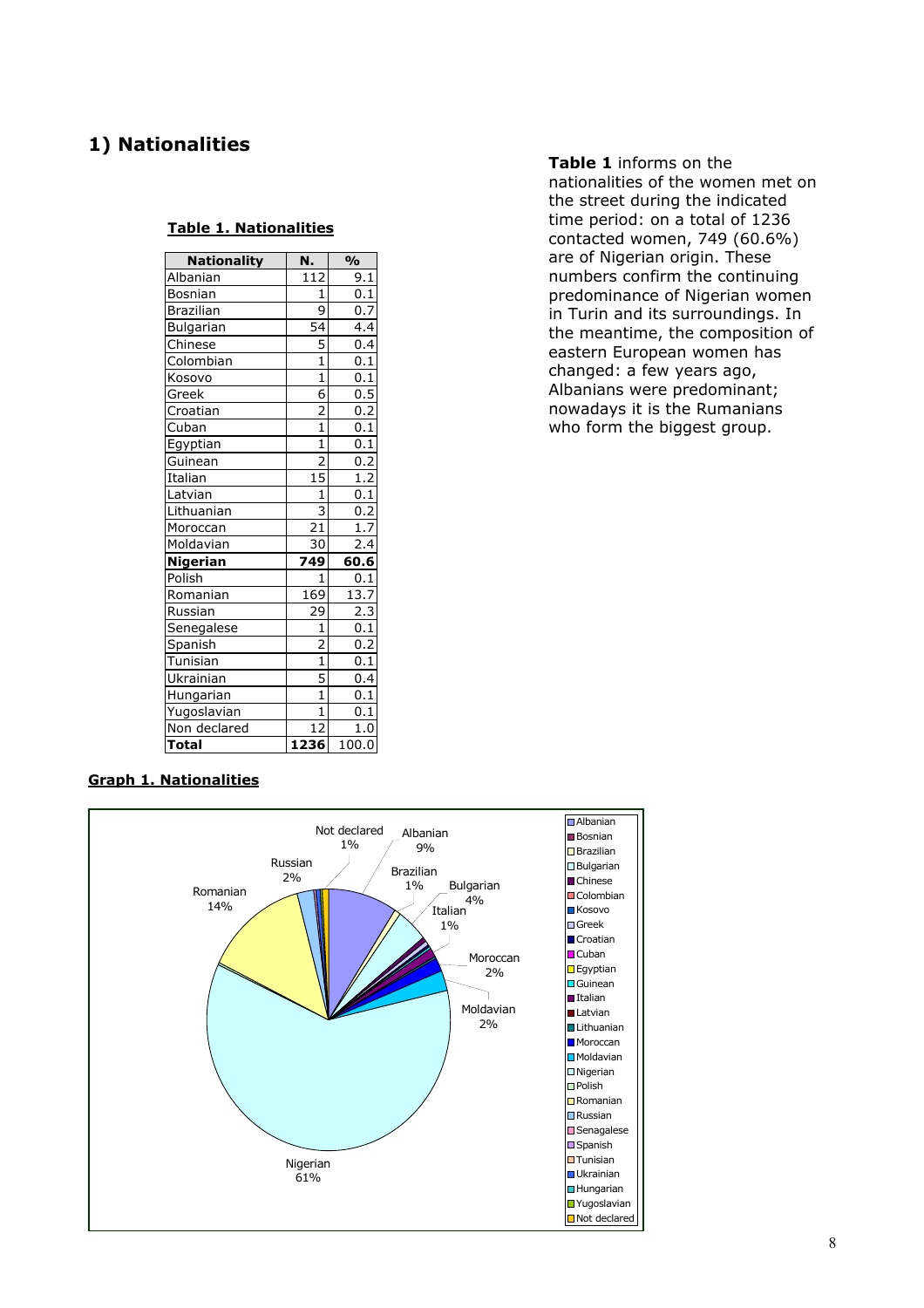### **1) Nationalities**

#### **Table 1. Nationalities**

| <b>Nationality</b> | N.                                                                          | $\frac{1}{2}$      |
|--------------------|-----------------------------------------------------------------------------|--------------------|
| Albanian           | $\overline{1}12$                                                            | 9.1                |
| Bosnian            | $\mathbf{1}$                                                                | 0.1                |
| <b>Brazilian</b>   | 9                                                                           | 0.7                |
| Bulgarian          | 54                                                                          | 4.4                |
| Chinese            | 5                                                                           | 0.4                |
| Colombian          | $\overline{1}$                                                              | 0.1                |
| Kosovo             | $\overline{1}$                                                              | 0.1                |
| Greek              | $\overline{6}$                                                              | 0.5                |
| Croatian           | $\frac{2}{1}$                                                               | 0.2                |
| Cuban              |                                                                             | 0.1                |
| Egyptian           | $\overline{\mathbf{1}}$                                                     | 0.1                |
| Guinean            | $\begin{array}{c}\n\phantom{+}2 \\ \hline\n15 \\ \phantom{+}1\n\end{array}$ | 0.2                |
| Italian            |                                                                             |                    |
| Latvian            |                                                                             | $\frac{0.12}{0.1}$ |
| Lithuanian         | 3                                                                           | 0.2                |
| Moroccan           | $\overline{21}$                                                             | 1.7                |
| Moldavian          | $\overline{3}0$                                                             | $\overline{2.4}$   |
| <b>Nigerian</b>    | 749                                                                         | 60.6               |
| Polish             | $\mathbf{1}$                                                                | $0.\overline{1}$   |
| Romanian           | 169                                                                         | 13.7               |
| Russian            | $\frac{1}{29}$                                                              | $\overline{2.3}$   |
| Senegalese         | $\overline{1}$                                                              | 0.1                |
| Spanish            | $\frac{2}{1}$                                                               | $0.\overline{2}$   |
| Tunisian           |                                                                             | 0.1                |
| Ukrainian          | $rac{5}{1}$                                                                 | 0.4                |
| Hungarian          |                                                                             | $\overline{0.1}$   |
| Yugoslavian        | $\overline{1}$                                                              | 0.1                |
| Non declared       | $\overline{12}$                                                             | 1.0                |
| <b>Total</b>       | 1236                                                                        | 100.0              |

**Table 1** informs on the nationalities of the women met on the street during the indicated time period: on a total of 1236 contacted women, 749 (60.6%) are of Nigerian origin. These numbers confirm the continuing predominance of Nigerian women in Turin and its surroundings. In the meantime, the composition of eastern European women has changed: a few years ago, Albanians were predominant; nowadays it is the Rumanians who form the biggest group.

#### **Graph 1. Nationalities**

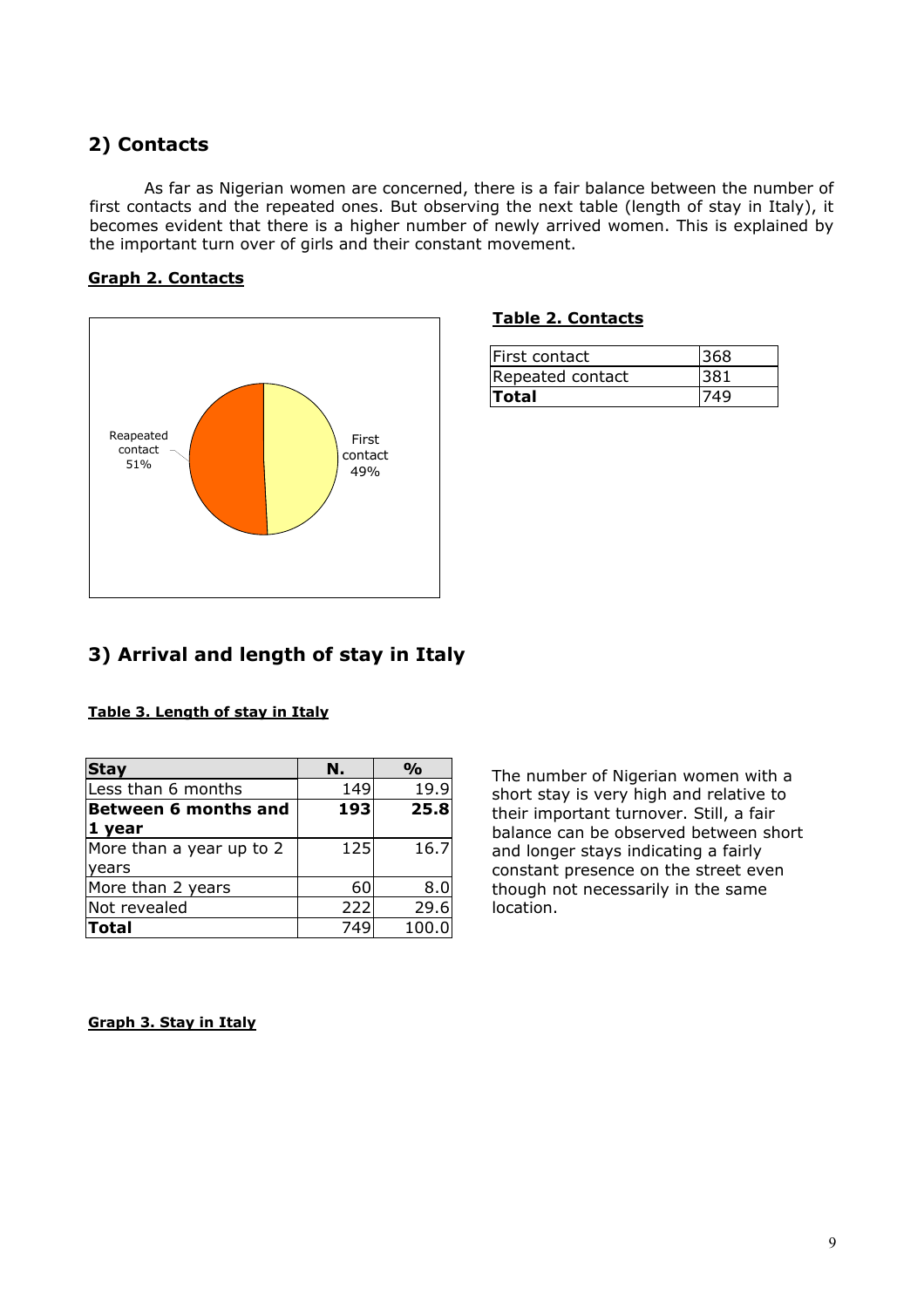### **2) Contacts**

becomes evident that there is a higher number of newly arrived women. This is explained by  the important turn over of girls and their constant movement. As far as Nigerian women are concerned, there is a fair balance between the number of first contacts and the repeated ones. But observing the next table (length of stay in Italy), it

#### **Graph 2. Contacts**



#### **Table 2. Contacts**

| First contact    | 368 |
|------------------|-----|
| Repeated contact |     |
| Total            |     |

### **3) Arrival and length of stay in Italy**

| <b>Stay</b>              | N.  | %    |
|--------------------------|-----|------|
| Less than 6 months       | 149 | 19.9 |
| Between 6 months and     | 193 | 25.8 |
| 1 year                   |     |      |
| More than a year up to 2 | 125 | 16.7 |

More than 2 years  $\begin{array}{|c|c|c|} \hline \text{More than 2 years} & \text{60} & \text{8.0} \end{array}$ Not revealed 1 222 29.6 **Total** 749 100.0

#### **Table 3. Length of stay in Italy**

The number of Nigerian women with a short stay is very high and relative to their important turnover. Still, a fair balance can be observed between short and longer stays indicating a fairly constant presence on the street even though not necessarily in the same location.

#### **Graph 3. Stay in Italy**

years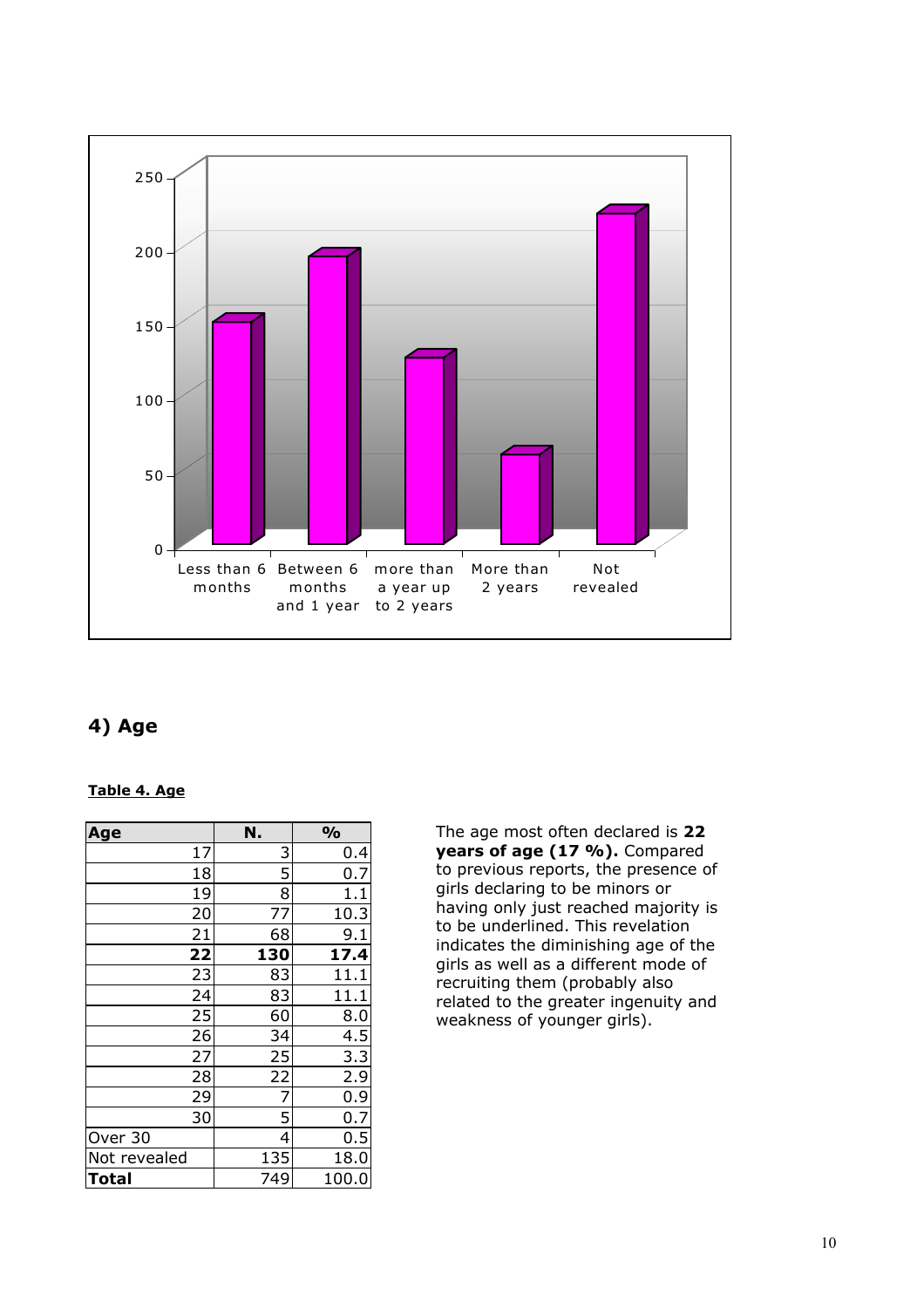

### **4) Age**

#### **Table 4. Age**

| Age          | N.  | $\frac{1}{2}$ |
|--------------|-----|---------------|
| 17           | 3   | 0.4           |
| 18           | 5   | 0.7           |
| 19           | 8   | 1.1           |
| 20           | 77  | 10.3          |
| 21           | 68  | 9.1           |
| 22           | 130 | 17.4          |
| 23           | 83  | 11.1          |
| 24           | 83  | 11.1          |
| 25           | 60  | 8.0           |
| 26           | 34  | 4.5           |
| 27           | 25  | 3.3           |
| 28           | 22  | 2.9           |
| 29           | 7   | 0.9           |
| 30           | 5   | 0.7           |
| Over 30      | 4   | 0.5           |
| Not revealed | 135 | 18.0          |
| Total        | 749 | 100.0         |

The age most often declared is **22 years of age (17 %).** Compared to previous reports, the presence of girls declaring to be minors or having only just reached majority is to be underlined. This revelation indicates the diminishing age of the girls as well as a different mode of recruiting them (probably also related to the greater ingenuity and weakness of younger girls).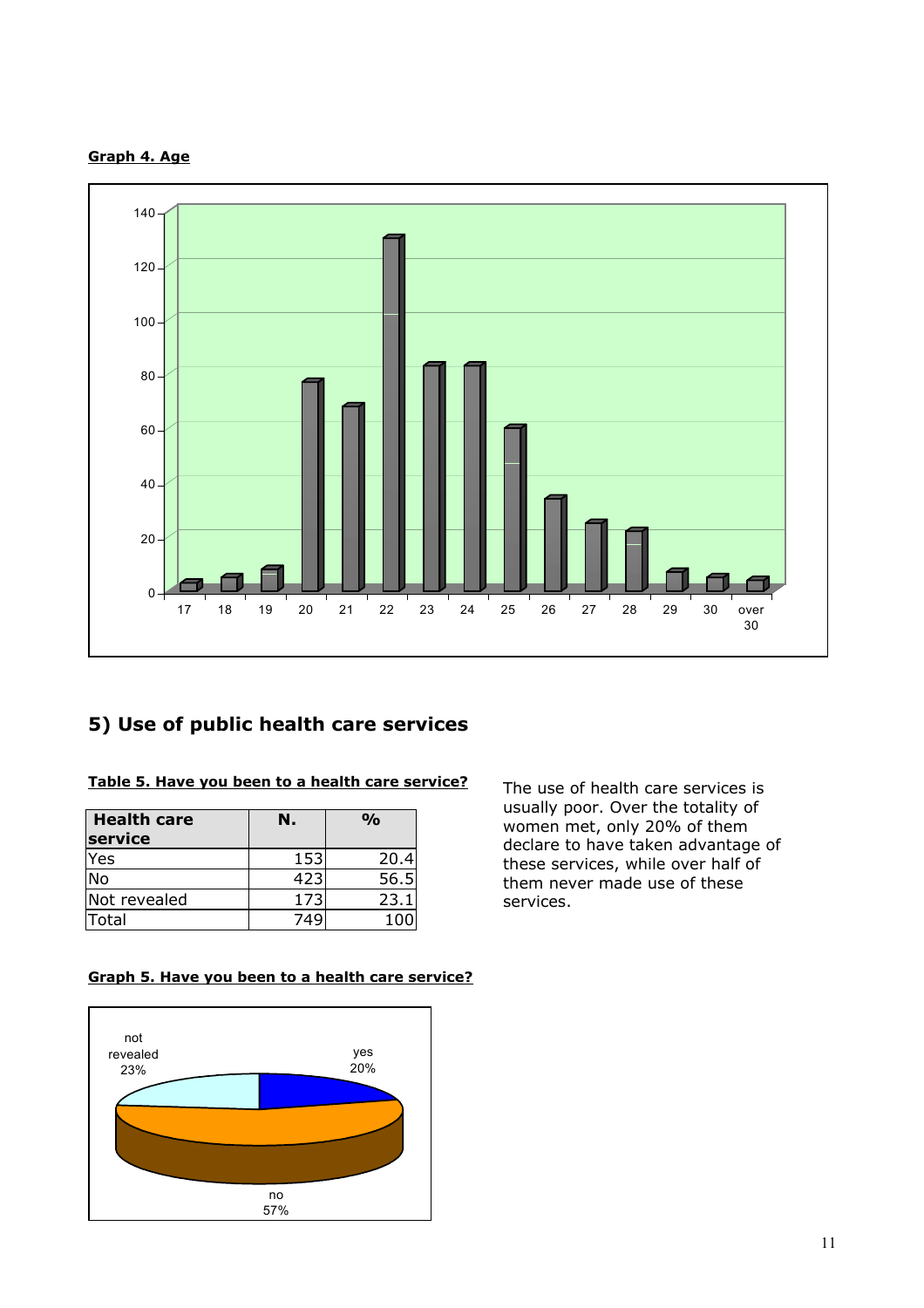



### **5) Use of public health care services**

#### **Table 5. Have you been to a health care service?**

| <b>Health care</b><br>service | N.  | $\frac{0}{0}$ |
|-------------------------------|-----|---------------|
| Yes                           | 153 | 20.4          |
| <b>No</b>                     | 423 | 56.5          |
| Not revealed                  | 173 | 23.1          |
| Total                         | 74G | 100           |

The use of health care services is usually poor. Over the totality of women met, only 20% of them declare to have taken advantage of these services, while over half of them never made use of these services.

#### **Graph 5. Have you been to a health care service?**

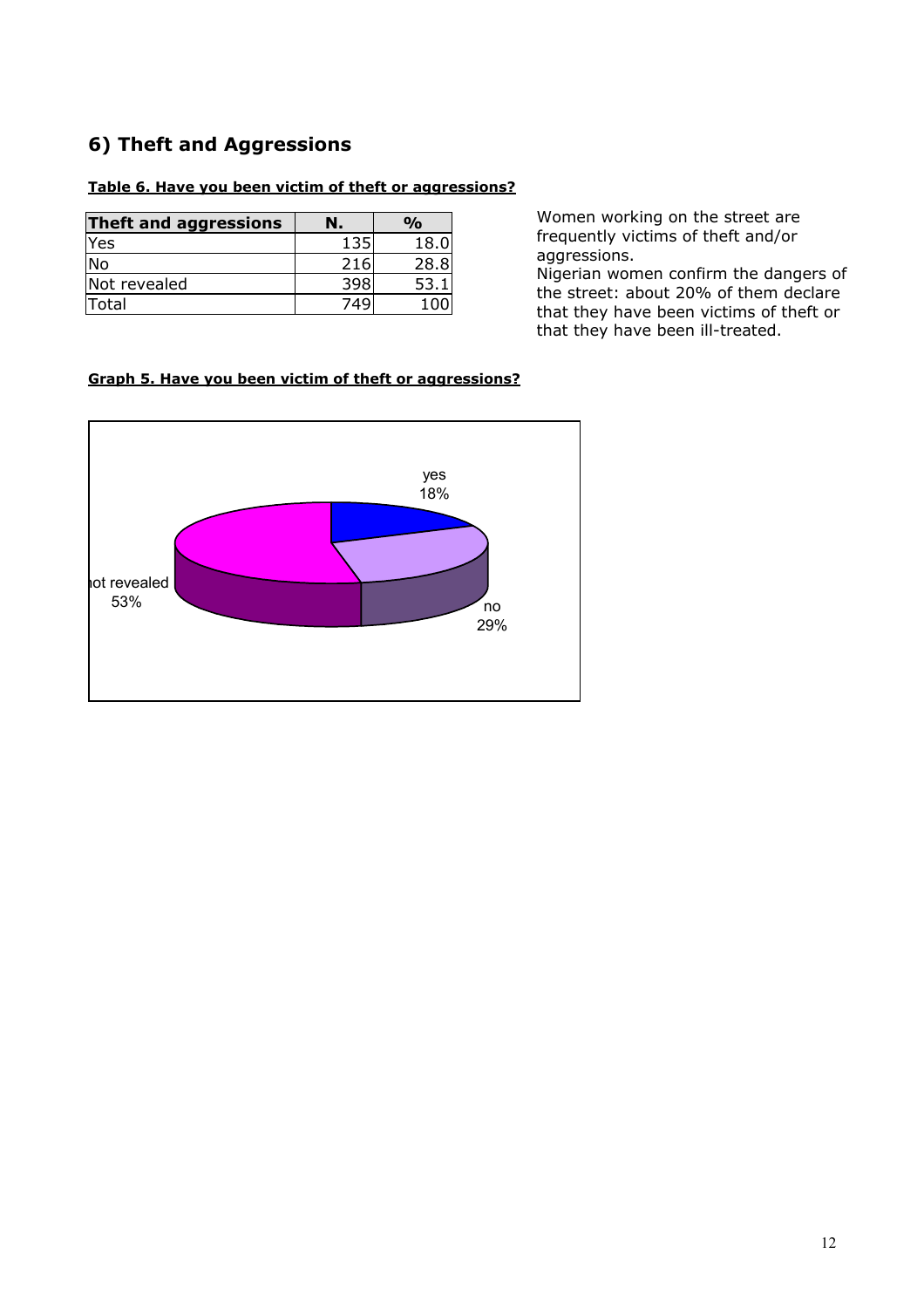### **6) Theft and Aggressions**

#### **Table 6. Have you been victim of theft or aggressions?**

| Theft and aggressions | Ν.  | %    |
|-----------------------|-----|------|
| Yes                   | 135 | 18.0 |
| No                    | 216 | 28.8 |
| Not revealed          | 398 | 53.  |
| Total                 | 749 |      |

Women working on the street are frequently victims of theft and/or aggressions.

Nigerian women confirm the dangers of the street: about 20% of them declare that they have been victims of theft or that they have been ill-treated.

#### **Graph 5. Have you been victim of theft or aggressions?**

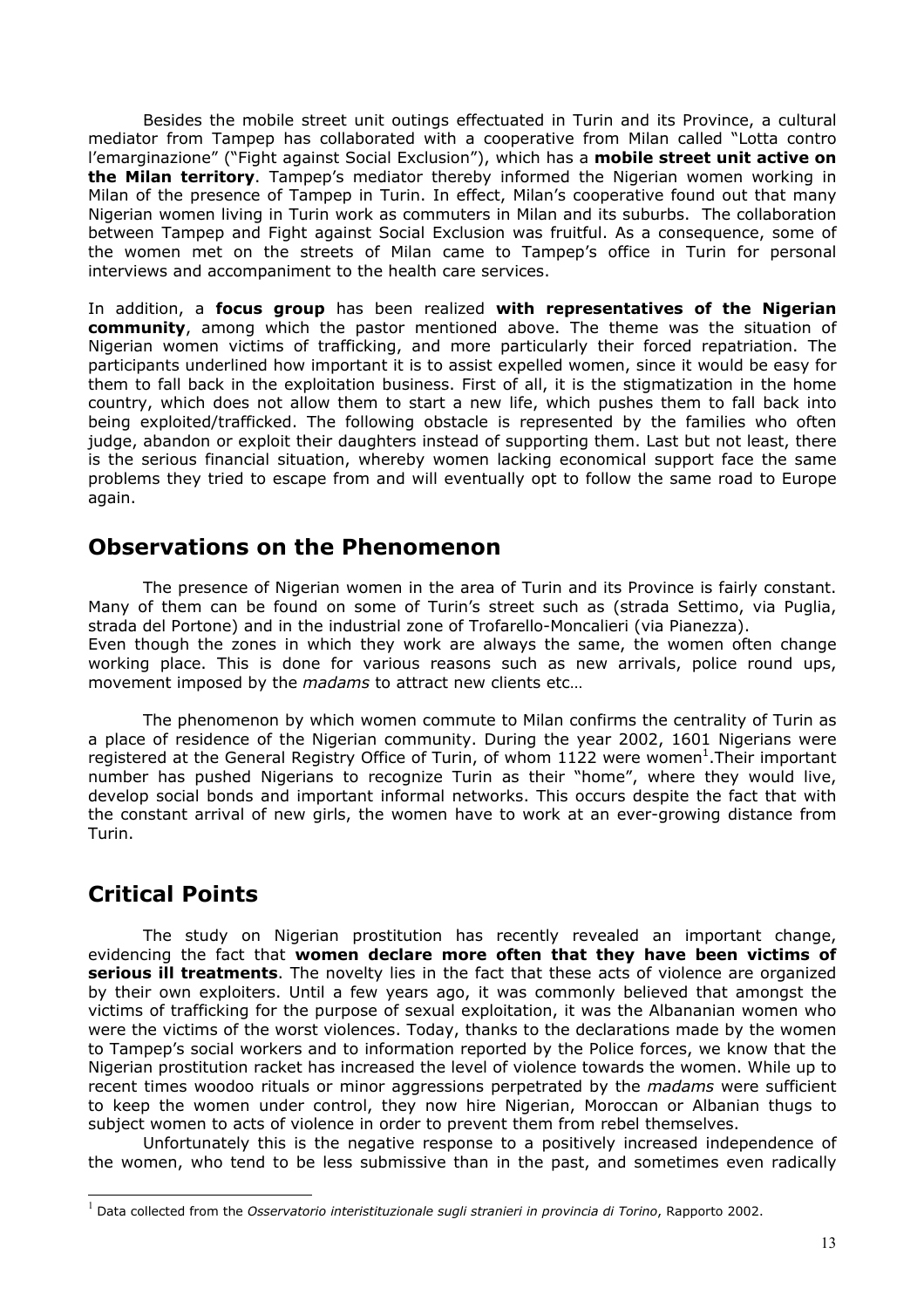Besides the mobile street unit outings effectuated in Turin and its Province, a cultural mediator from Tampep has collaborated with a cooperative from Milan called "Lotta contro l'emarginazione" ("Fight against Social Exclusion"), which has a **mobile street unit active on the Milan territory**. Tampep's mediator thereby informed the Nigerian women working in Milan of the presence of Tampep in Turin. In effect, Milan's cooperative found out that many Nigerian women living in Turin work as commuters in Milan and its suburbs. The collaboration between Tampep and Fight against Social Exclusion was fruitful. As a consequence, some of the women met on the streets of Milan came to Tampep's office in Turin for personal interviews and accompaniment to the health care services.

In addition, a **focus group** has been realized **with representatives of the Nigerian community**, among which the pastor mentioned above. The theme was the situation of Nigerian women victims of trafficking, and more particularly their forced repatriation. The participants underlined how important it is to assist expelled women, since it would be easy for them to fall back in the exploitation business. First of all, it is the stigmatization in the home country, which does not allow them to start a new life, which pushes them to fall back into being exploited/trafficked. The following obstacle is represented by the families who often judge, abandon or exploit their daughters instead of supporting them. Last but not least, there is the serious financial situation, whereby women lacking economical support face the same problems they tried to escape from and will eventually opt to follow the same road to Europe again.

### **Observations on the Phenomenon**

The presence of Nigerian women in the area of Turin and its Province is fairly constant. Many of them can be found on some of Turin's street such as (strada Settimo, via Puglia, strada del Portone) and in the industrial zone of Trofarello-Moncalieri (via Pianezza). Even though the zones in which they work are always the same, the women often change working place. This is done for various reasons such as new arrivals, police round ups, movement imposed by the *madams* to attract new clients etc…

The phenomenon by which women commute to Milan confirms the centrality of Turin as a place of residence of the Nigerian community. During the year 2002, 1601 Nigerians were registered at the General Registry Office of Turin, of whom [1](#page-12-0)122 were women<sup>1</sup>. Their important number has pushed Nigerians to recognize Turin as their "home", where they would live, develop social bonds and important informal networks. This occurs despite the fact that with the constant arrival of new girls, the women have to work at an ever-growing distance from Turin.

### **Critical Points**

 $\overline{a}$ 

The study on Nigerian prostitution has recently revealed an important change, evidencing the fact that **women declare more often that they have been victims of serious ill treatments**. The novelty lies in the fact that these acts of violence are organized by their own exploiters. Until a few years ago, it was commonly believed that amongst the victims of trafficking for the purpose of sexual exploitation, it was the Albananian women who were the victims of the worst violences. Today, thanks to the declarations made by the women to Tampep's social workers and to information reported by the Police forces, we know that the Nigerian prostitution racket has increased the level of violence towards the women. While up to recent times woodoo rituals or minor aggressions perpetrated by the *madams* were sufficient to keep the women under control, they now hire Nigerian, Moroccan or Albanian thugs to subject women to acts of violence in order to prevent them from rebel themselves.

Unfortunately this is the negative response to a positively increased independence of the women, who tend to be less submissive than in the past, and sometimes even radically

<span id="page-12-0"></span><sup>1</sup> Data collected from the *Osservatorio interistituzionale sugli stranieri in provincia di Torino*, Rapporto 2002.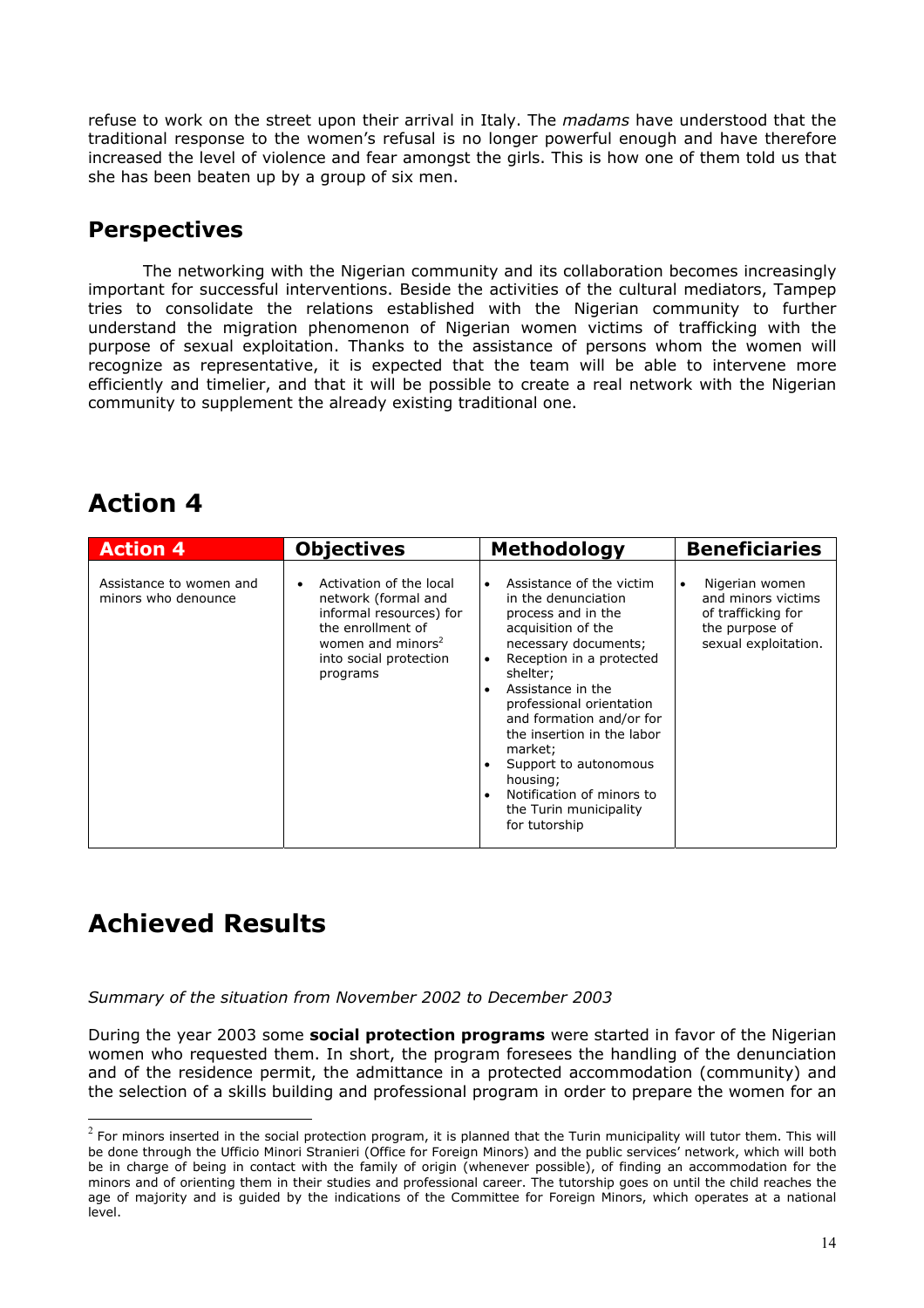refuse to work on the street upon their arrival in Italy. The *madams* have understood that the traditional response to the women's refusal is no longer powerful enough and have therefore increased the level of violence and fear amongst the girls. This is how one of them told us that she has been beaten up by a group of six men.

### **Perspectives**

The networking with the Nigerian community and its collaboration becomes increasingly important for successful interventions. Beside the activities of the cultural mediators, Tampep tries to consolidate the relations established with the Nigerian community to further understand the migration phenomenon of Nigerian women victims of trafficking with the purpose of sexual exploitation. Thanks to the assistance of persons whom the women will recognize as representative, it is expected that the team will be able to intervene more efficiently and timelier, and that it will be possible to create a real network with the Nigerian community to supplement the already existing traditional one.

# **Action 4**

| <b>Action 4</b>                                | <b>Objectives</b>                                                                                                                                                     | <b>Methodology</b>                                                                                                                                                                                                                                                                                                                                                                                                       | <b>Beneficiaries</b>                                                                                              |
|------------------------------------------------|-----------------------------------------------------------------------------------------------------------------------------------------------------------------------|--------------------------------------------------------------------------------------------------------------------------------------------------------------------------------------------------------------------------------------------------------------------------------------------------------------------------------------------------------------------------------------------------------------------------|-------------------------------------------------------------------------------------------------------------------|
| Assistance to women and<br>minors who denounce | Activation of the local<br>network (formal and<br>informal resources) for<br>the enrollment of<br>women and minors <sup>2</sup><br>into social protection<br>programs | Assistance of the victim<br>in the denunciation<br>process and in the<br>acquisition of the<br>necessary documents;<br>Reception in a protected<br>$\bullet$<br>shelter;<br>Assistance in the<br>$\bullet$<br>professional orientation<br>and formation and/or for<br>the insertion in the labor<br>market;<br>Support to autonomous<br>housing;<br>Notification of minors to<br>the Turin municipality<br>for tutorship | Nigerian women<br>$\bullet$<br>and minors victims<br>of trafficking for<br>the purpose of<br>sexual exploitation. |

# **Achieved Results**

 $\overline{a}$ 

*Summary of the situation from November 2002 to December 2003* 

During the year 2003 some **social protection programs** were started in favor of the Nigerian women who requested them. In short, the program foresees the handling of the denunciation and of the residence permit, the admittance in a protected accommodation (community) and the selection of a skills building and professional program in order to prepare the women for an

<span id="page-13-0"></span> $^2$  For minors inserted in the social protection program, it is planned that the Turin municipality will tutor them. This will be done through the Ufficio Minori Stranieri (Office for Foreign Minors) and the public services' network, which will both be in charge of being in contact with the family of origin (whenever possible), of finding an accommodation for the minors and of orienting them in their studies and professional career. The tutorship goes on until the child reaches the age of majority and is guided by the indications of the Committee for Foreign Minors, which operates at a national level.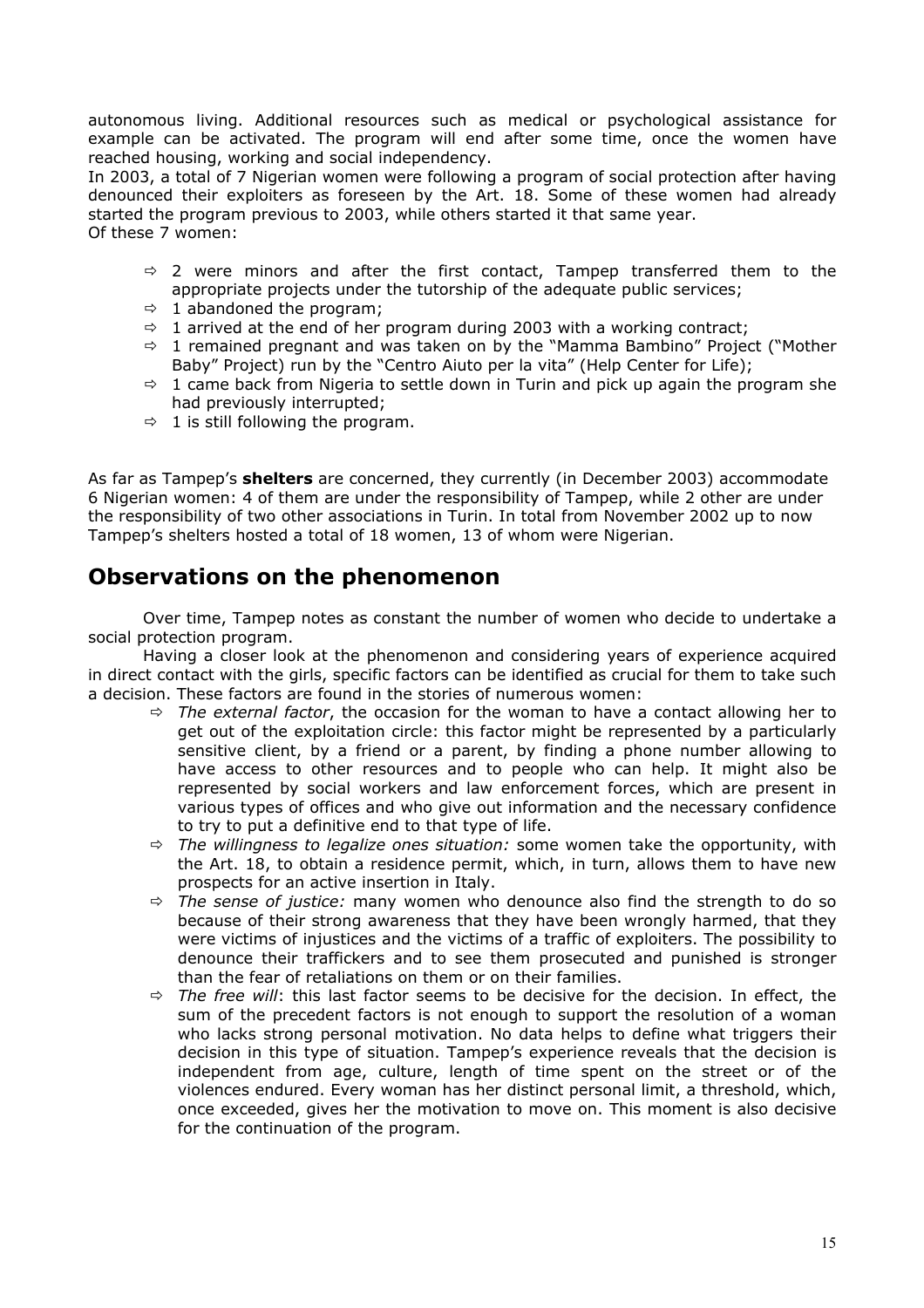autonomous living. Additional resources such as medical or psychological assistance for example can be activated. The program will end after some time, once the women have reached housing, working and social independency.

In 2003, a total of 7 Nigerian women were following a program of social protection after having denounced their exploiters as foreseen by the Art. 18. Some of these women had already started the program previous to 2003, while others started it that same year. Of these 7 women:

- $\Rightarrow$  2 were minors and after the first contact, Tampep transferred them to the appropriate projects under the tutorship of the adequate public services;
- $\Rightarrow$  1 abandoned the program;
- $\Rightarrow$  1 arrived at the end of her program during 2003 with a working contract;
- $\Rightarrow$  1 remained pregnant and was taken on by the "Mamma Bambino" Project ("Mother Baby" Project) run by the "Centro Aiuto per la vita" (Help Center for Life);
- $\Rightarrow$  1 came back from Nigeria to settle down in Turin and pick up again the program she had previously interrupted;
- $\Rightarrow$  1 is still following the program.

As far as Tampep's **shelters** are concerned, they currently (in December 2003) accommodate 6 Nigerian women: 4 of them are under the responsibility of Tampep, while 2 other are under the responsibility of two other associations in Turin. In total from November 2002 up to now Tampep's shelters hosted a total of 18 women, 13 of whom were Nigerian.

### **Observations on the phenomenon**

Over time, Tampep notes as constant the number of women who decide to undertake a social protection program.

Having a closer look at the phenomenon and considering years of experience acquired in direct contact with the girls, specific factors can be identified as crucial for them to take such a decision. These factors are found in the stories of numerous women:

- $\Rightarrow$  *The external factor*, the occasion for the woman to have a contact allowing her to get out of the exploitation circle: this factor might be represented by a particularly sensitive client, by a friend or a parent, by finding a phone number allowing to have access to other resources and to people who can help. It might also be represented by social workers and law enforcement forces, which are present in various types of offices and who give out information and the necessary confidence to try to put a definitive end to that type of life.
- $\Rightarrow$  *The willingness to legalize ones situation:* some women take the opportunity, with the Art. 18, to obtain a residence permit, which, in turn, allows them to have new prospects for an active insertion in Italy.
- $\Rightarrow$  *The sense of justice:* many women who denounce also find the strength to do so because of their strong awareness that they have been wrongly harmed, that they were victims of injustices and the victims of a traffic of exploiters. The possibility to denounce their traffickers and to see them prosecuted and punished is stronger than the fear of retaliations on them or on their families.
- $\Rightarrow$  *The free will*: this last factor seems to be decisive for the decision. In effect, the sum of the precedent factors is not enough to support the resolution of a woman who lacks strong personal motivation. No data helps to define what triggers their decision in this type of situation. Tampep's experience reveals that the decision is independent from age, culture, length of time spent on the street or of the violences endured. Every woman has her distinct personal limit, a threshold, which, once exceeded, gives her the motivation to move on. This moment is also decisive for the continuation of the program.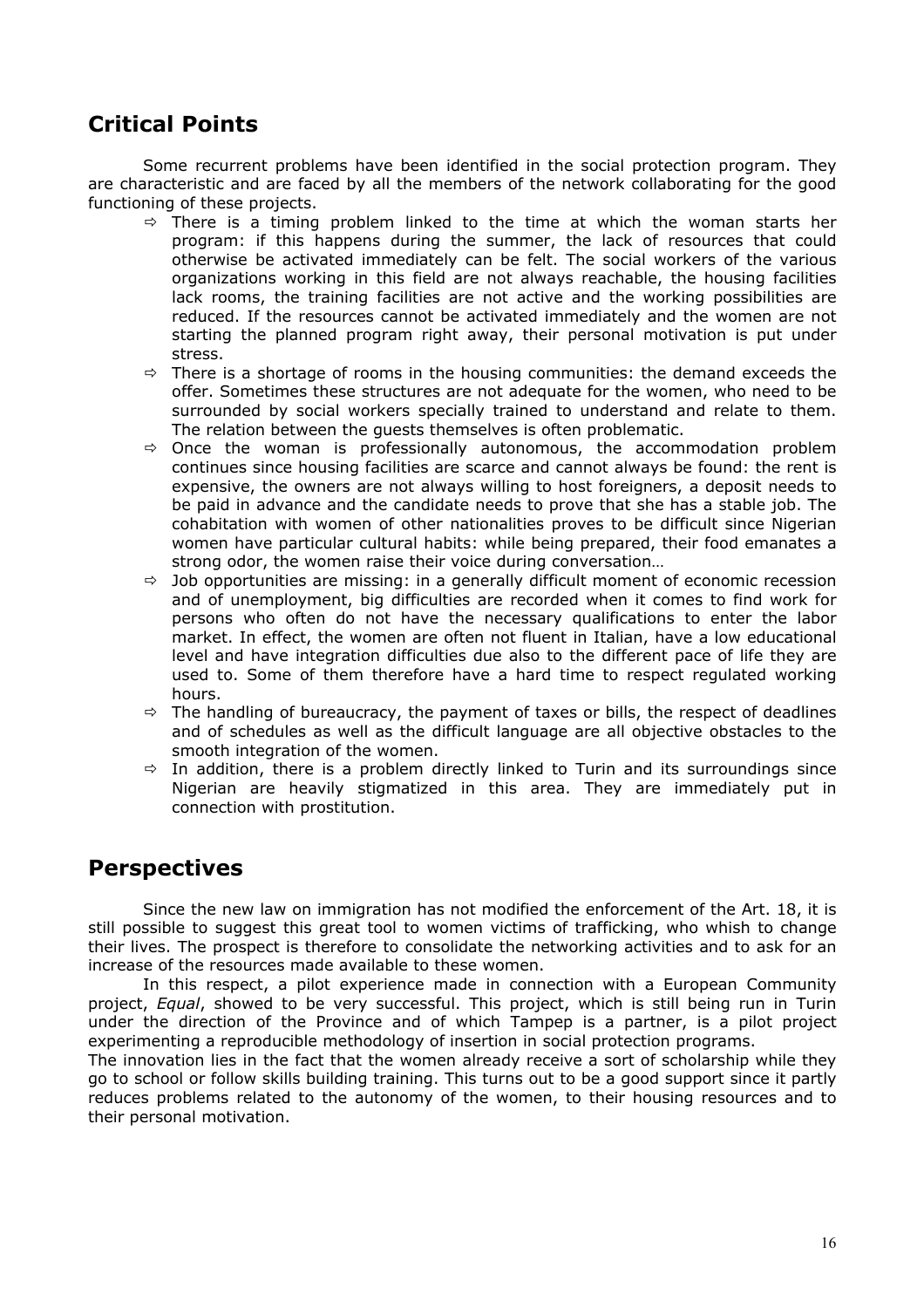### **Critical Points**

Some recurrent problems have been identified in the social protection program. They are characteristic and are faced by all the members of the network collaborating for the good functioning of these projects.

- $\Rightarrow$  There is a timing problem linked to the time at which the woman starts her program: if this happens during the summer, the lack of resources that could otherwise be activated immediately can be felt. The social workers of the various organizations working in this field are not always reachable, the housing facilities lack rooms, the training facilities are not active and the working possibilities are reduced. If the resources cannot be activated immediately and the women are not starting the planned program right away, their personal motivation is put under stress.
- $\Rightarrow$  There is a shortage of rooms in the housing communities: the demand exceeds the offer. Sometimes these structures are not adequate for the women, who need to be surrounded by social workers specially trained to understand and relate to them. The relation between the guests themselves is often problematic.
- $\Rightarrow$  Once the woman is professionally autonomous, the accommodation problem continues since housing facilities are scarce and cannot always be found: the rent is expensive, the owners are not always willing to host foreigners, a deposit needs to be paid in advance and the candidate needs to prove that she has a stable job. The cohabitation with women of other nationalities proves to be difficult since Nigerian women have particular cultural habits: while being prepared, their food emanates a strong odor, the women raise their voice during conversation…
- $\Rightarrow$  Job opportunities are missing: in a generally difficult moment of economic recession and of unemployment, big difficulties are recorded when it comes to find work for persons who often do not have the necessary qualifications to enter the labor market. In effect, the women are often not fluent in Italian, have a low educational level and have integration difficulties due also to the different pace of life they are used to. Some of them therefore have a hard time to respect regulated working hours.
- $\Rightarrow$  The handling of bureaucracy, the payment of taxes or bills, the respect of deadlines and of schedules as well as the difficult language are all objective obstacles to the smooth integration of the women.
- $\Rightarrow$  In addition, there is a problem directly linked to Turin and its surroundings since Nigerian are heavily stigmatized in this area. They are immediately put in connection with prostitution.

### **Perspectives**

Since the new law on immigration has not modified the enforcement of the Art. 18, it is still possible to suggest this great tool to women victims of trafficking, who whish to change their lives. The prospect is therefore to consolidate the networking activities and to ask for an increase of the resources made available to these women.

In this respect, a pilot experience made in connection with a European Community project, *Equal*, showed to be very successful. This project, which is still being run in Turin under the direction of the Province and of which Tampep is a partner, is a pilot project experimenting a reproducible methodology of insertion in social protection programs.

The innovation lies in the fact that the women already receive a sort of scholarship while they go to school or follow skills building training. This turns out to be a good support since it partly reduces problems related to the autonomy of the women, to their housing resources and to their personal motivation.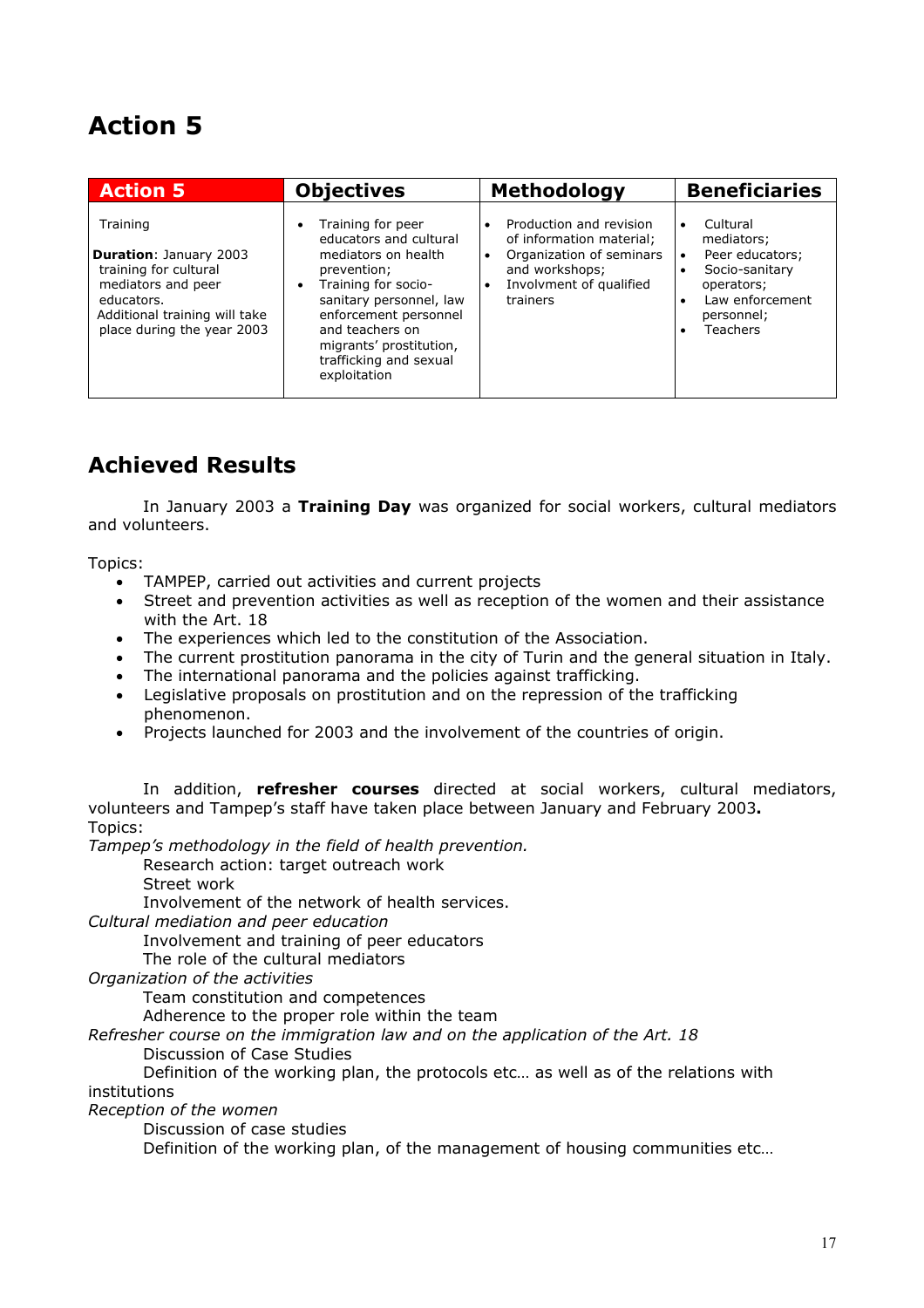# **Action 5**

| <b>Action 5</b>                                                                                                                                                       | <b>Objectives</b>                                                                                                                                                                                                                                                      | <b>Methodology</b>                                                                                                                                    | <b>Beneficiaries</b>                                                                                                                                                                    |
|-----------------------------------------------------------------------------------------------------------------------------------------------------------------------|------------------------------------------------------------------------------------------------------------------------------------------------------------------------------------------------------------------------------------------------------------------------|-------------------------------------------------------------------------------------------------------------------------------------------------------|-----------------------------------------------------------------------------------------------------------------------------------------------------------------------------------------|
| Training<br><b>Duration: January 2003</b><br>training for cultural<br>mediators and peer<br>educators.<br>Additional training will take<br>place during the year 2003 | Training for peer<br>٠<br>educators and cultural<br>mediators on health<br>prevention;<br>Training for socio-<br>$\bullet$<br>sanitary personnel, law<br>enforcement personnel<br>and teachers on<br>migrants' prostitution,<br>trafficking and sexual<br>exploitation | Production and revision<br>of information material:<br>Organization of seminars<br>and workshops;<br>Involvment of qualified<br>$\bullet$<br>trainers | Cultural<br>$\bullet$<br>mediators:<br>Peer educators;<br>$\bullet$<br>Socio-sanitary<br>$\bullet$<br>operators;<br>Law enforcement<br>$\bullet$<br>personnel;<br>Teachers<br>$\bullet$ |

# **Achieved Results**

In January 2003 a **Training Day** was organized for social workers, cultural mediators and volunteers.

Topics:

- TAMPEP, carried out activities and current projects
- Street and prevention activities as well as reception of the women and their assistance with the Art. 18
- The experiences which led to the constitution of the Association.
- The current prostitution panorama in the city of Turin and the general situation in Italy.
- The international panorama and the policies against trafficking.
- Legislative proposals on prostitution and on the repression of the trafficking phenomenon.
- Projects launched for 2003 and the involvement of the countries of origin.

In addition, **refresher courses** directed at social workers, cultural mediators, volunteers and Tampep's staff have taken place between January and February 2003**.** Topics:

*Tampep's methodology in the field of health prevention.* 

Research action: target outreach work

Street work

Involvement of the network of health services.

*Cultural mediation and peer education* 

Involvement and training of peer educators

The role of the cultural mediators

*Organization of the activities* 

Team constitution and competences

Adherence to the proper role within the team

*Refresher course on the immigration law and on the application of the Art. 18* 

Discussion of Case Studies

Definition of the working plan, the protocols etc… as well as of the relations with institutions

*Reception of the women* 

Discussion of case studies

Definition of the working plan, of the management of housing communities etc…